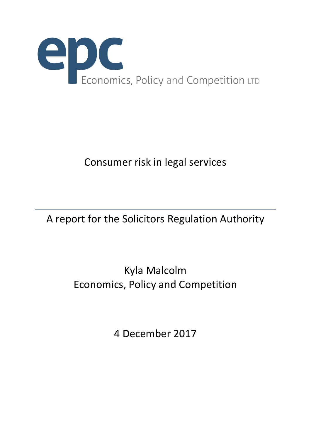

# A report for the Solicitors Regulation Authority

# Kyla Malcolm Economics, Policy and Competition

4 December 2017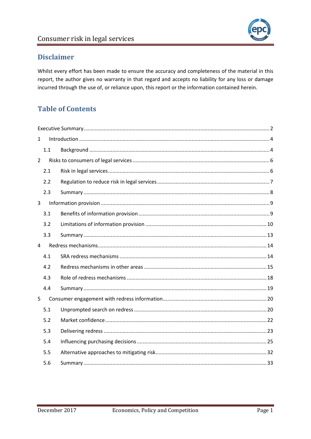

# **Disclaimer**

Whilst every effort has been made to ensure the accuracy and completeness of the material in this report, the author gives no warranty in that regard and accepts no liability for any loss or damage incurred through the use of, or reliance upon, this report or the information contained herein.

# **Table of Contents**

| $\mathbf{1}$   |     |  |  |  |  |  |  |  |
|----------------|-----|--|--|--|--|--|--|--|
|                | 1.1 |  |  |  |  |  |  |  |
| $\overline{2}$ |     |  |  |  |  |  |  |  |
|                | 2.1 |  |  |  |  |  |  |  |
|                | 2.2 |  |  |  |  |  |  |  |
|                | 2.3 |  |  |  |  |  |  |  |
| 3              |     |  |  |  |  |  |  |  |
|                | 3.1 |  |  |  |  |  |  |  |
|                | 3.2 |  |  |  |  |  |  |  |
|                | 3.3 |  |  |  |  |  |  |  |
| 4              |     |  |  |  |  |  |  |  |
|                | 4.1 |  |  |  |  |  |  |  |
|                | 4.2 |  |  |  |  |  |  |  |
|                | 4.3 |  |  |  |  |  |  |  |
|                | 4.4 |  |  |  |  |  |  |  |
| 5              |     |  |  |  |  |  |  |  |
|                | 5.1 |  |  |  |  |  |  |  |
|                | 5.2 |  |  |  |  |  |  |  |
|                | 5.3 |  |  |  |  |  |  |  |
|                | 5.4 |  |  |  |  |  |  |  |
|                | 5.5 |  |  |  |  |  |  |  |
|                | 5.6 |  |  |  |  |  |  |  |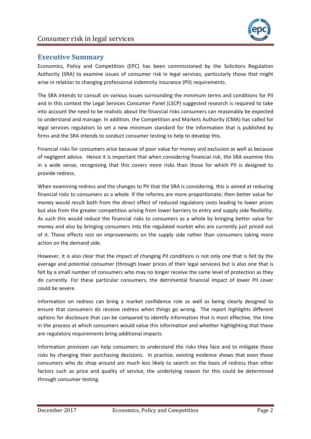

# <span id="page-2-0"></span>**Executive Summary**

Economics, Policy and Competition (EPC) has been commissioned by the Solicitors Regulation Authority (SRA) to examine issues of consumer risk in legal services, particularly those that might arise in relation to changing professional indemnity insurance (PII) requirements.

The SRA intends to consult on various issues surrounding the minimum terms and conditions for PII and in this context the Legal Services Consumer Panel (LSCP) suggested research is required to take into account the need to be realistic about the financial risks consumers can reasonably be expected to understand and manage. In addition, the Competition and Markets Authority (CMA) has called for legal services regulators to set a new minimum standard for the information that is published by firms and the SRA intends to conduct consumer testing to help to develop this.

Financial risks for consumers arise because of poor value for money and exclusion as well as because of negligent advice. Hence it is important that when considering financial risk, the SRA examine this in a wide sense, recognising that this covers more risks than those for which PII is designed to provide redress.

When examining redress and the changes to PII that the SRA is considering, this is aimed at reducing financial risks to consumers as a whole. If the reforms are more proportionate, then better value for money would result both from the direct effect of reduced regulatory costs leading to lower prices but also from the greater competition arising from lower barriers to entry and supply side flexibility. As such this would reduce the financial risks to consumers as a whole by bringing better value for money and also by bringing consumers into the regulated market who are currently just priced out of it. These effects rest on improvements on the supply side rather than consumers taking more action on the demand side.

However, it is also clear that the impact of changing PII conditions is not only one that is felt by the average and potential consumer (through lower prices of their legal services) but is also one that is felt by a small number of consumers who may no longer receive the same level of protection as they do currently. For these particular consumers, the detrimental financial impact of lower PII cover could be severe.

Information on redress can bring a market confidence role as well as being clearly designed to ensure that consumers do receive redress when things go wrong. The report highlights different options for disclosure that can be compared to identify information that is most effective, the time in the process at which consumers would value this information and whether highlighting that these are regulatory requirements bring additional impacts.

Information provision can help consumers to understand the risks they face and to mitigate these risks by changing their purchasing decisions. In practice, existing evidence shows that even those consumers who do shop around are much less likely to search on the basis of redress than other factors such as price and quality of service; the underlying reason for this could be determined through consumer testing.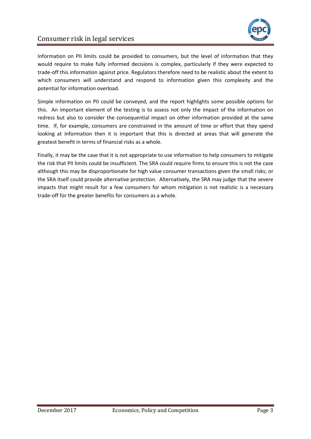

Information on PII limits could be provided to consumers, but the level of information that they would require to make fully informed decisions is complex, particularly if they were expected to trade-off this information against price. Regulators therefore need to be realistic about the extent to which consumers will understand and respond to information given this complexity and the potential for information overload.

Simple information on PII could be conveyed, and the report highlights some possible options for this. An important element of the testing is to assess not only the impact of the information on redress but also to consider the consequential impact on other information provided at the same time. If, for example, consumers are constrained in the amount of time or effort that they spend looking at information then it is important that this is directed at areas that will generate the greatest benefit in terms of financial risks as a whole.

Finally, it may be the case that it is not appropriate to use information to help consumers to mitigate the risk that PII limits could be insufficient. The SRA could require firms to ensure this is not the case although this may be disproportionate for high value consumer transactions given the small risks; or the SRA itself could provide alternative protection. Alternatively, the SRA may judge that the severe impacts that might result for a few consumers for whom mitigation is not realistic is a necessary trade-off for the greater benefits for consumers as a whole.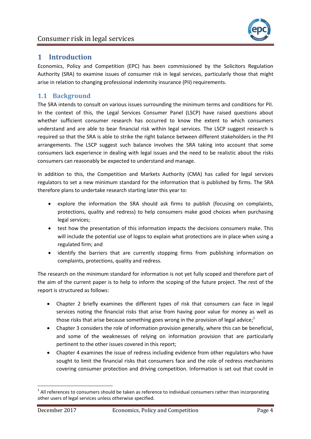# <span id="page-4-0"></span>**1 Introduction**

Economics, Policy and Competition (EPC) has been commissioned by the Solicitors Regulation Authority (SRA) to examine issues of consumer risk in legal services, particularly those that might arise in relation to changing professional indemnity insurance (PII) requirements.

# <span id="page-4-1"></span>**1.1 Background**

The SRA intends to consult on various issues surrounding the minimum terms and conditions for PII. In the context of this, the Legal Services Consumer Panel (LSCP) have raised questions about whether sufficient consumer research has occurred to know the extent to which consumers understand and are able to bear financial risk within legal services. The LSCP suggest research is required so that the SRA is able to strike the right balance between different stakeholders in the PII arrangements. The LSCP suggest such balance involves the SRA taking into account that some consumers lack experience in dealing with legal issues and the need to be realistic about the risks consumers can reasonably be expected to understand and manage.

In addition to this, the Competition and Markets Authority (CMA) has called for legal services regulators to set a new minimum standard for the information that is published by firms. The SRA therefore plans to undertake research starting later this year to:

- explore the information the SRA should ask firms to publish (focusing on complaints, protections, quality and redress) to help consumers make good choices when purchasing legal services;
- test how the presentation of this information impacts the decisions consumers make. This will include the potential use of logos to explain what protections are in place when using a regulated firm; and
- identify the barriers that are currently stopping firms from publishing information on complaints, protections, quality and redress.

The research on the minimum standard for information is not yet fully scoped and therefore part of the aim of the current paper is to help to inform the scoping of the future project. The rest of the report is structured as follows:

- Chapter [2](#page-6-0) briefly examines the different types of risk that consumers can face in legal services noting the financial risks that arise from having poor value for money as well as those risks that arise because something goes wrong in the provision of legal advice; $1$
- Chapter [3](#page-9-0) considers the role of information provision generally, where this can be beneficial, and some of the weaknesses of relying on information provision that are particularly pertinent to the other issues covered in this report;
- Chapter [4](#page-14-0) examines the issue of redress including evidence from other regulators who have sought to limit the financial risks that consumers face and the role of redress mechanisms covering consumer protection and driving competition. Information is set out that could in

 $1$  All references to consumers should be taken as reference to individual consumers rather than incorporating other users of legal services unless otherwise specified.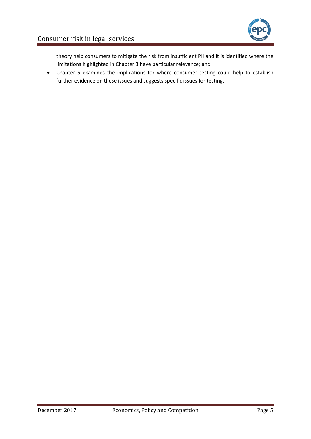

theory help consumers to mitigate the risk from insufficient PII and it is identified where the limitations highlighted in Chapte[r 3](#page-9-0) have particular relevance; and

 Chapter [5](#page-20-0) examines the implications for where consumer testing could help to establish further evidence on these issues and suggests specific issues for testing.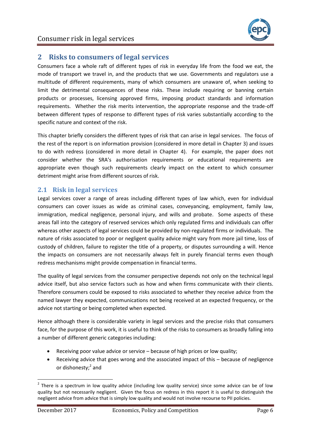

# <span id="page-6-0"></span>**2 Risks to consumers of legal services**

Consumers face a whole raft of different types of risk in everyday life from the food we eat, the mode of transport we travel in, and the products that we use. Governments and regulators use a multitude of different requirements, many of which consumers are unaware of, when seeking to limit the detrimental consequences of these risks. These include requiring or banning certain products or processes, licensing approved firms, imposing product standards and information requirements. Whether the risk merits intervention, the appropriate response and the trade-off between different types of response to different types of risk varies substantially according to the specific nature and context of the risk.

This chapter briefly considers the different types of risk that can arise in legal services. The focus of the rest of the report is on information provision (considered in more detail in Chapter [3\)](#page-9-0) and issues to do with redress (considered in more detail in Chapter [4\)](#page-14-0). For example, the paper does not consider whether the SRA's authorisation requirements or educational requirements are appropriate even though such requirements clearly impact on the extent to which consumer detriment might arise from different sources of risk.

## <span id="page-6-1"></span>**2.1 Risk in legal services**

Legal services cover a range of areas including different types of law which, even for individual consumers can cover issues as wide as criminal cases, conveyancing, employment, family law, immigration, medical negligence, personal injury, and wills and probate. Some aspects of these areas fall into the category of reserved services which only regulated firms and individuals can offer whereas other aspects of legal services could be provided by non-regulated firms or individuals. The nature of risks associated to poor or negligent quality advice might vary from more jail time, loss of custody of children, failure to register the title of a property, or disputes surrounding a will. Hence the impacts on consumers are not necessarily always felt in purely financial terms even though redress mechanisms might provide compensation in financial terms.

The quality of legal services from the consumer perspective depends not only on the technical legal advice itself, but also service factors such as how and when firms communicate with their clients. Therefore consumers could be exposed to risks associated to whether they receive advice from the named lawyer they expected, communications not being received at an expected frequency, or the advice not starting or being completed when expected.

Hence although there is considerable variety in legal services and the precise risks that consumers face, for the purpose of this work, it is useful to think of the risks to consumers as broadly falling into a number of different generic categories including:

- Receiving poor value advice or service because of high prices or low quality;
- Receiving advice that goes wrong and the associated impact of this because of negligence or dishonesty;<sup>2</sup> and

 $2$  There is a spectrum in low quality advice (including low quality service) since some advice can be of low quality but not necessarily negligent. Given the focus on redress in this report it is useful to distinguish the negligent advice from advice that is simply low quality and would not involve recourse to PII policies.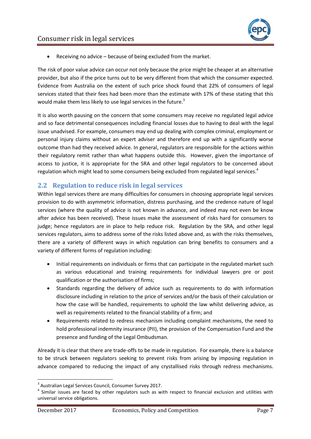

Receiving no advice – because of being excluded from the market.

The risk of poor value advice can occur not only because the price might be cheaper at an alternative provider, but also if the price turns out to be very different from that which the consumer expected. Evidence from Australia on the extent of such price shock found that 22% of consumers of legal services stated that their fees had been more than the estimate with 17% of these stating that this would make them less likely to use legal services in the future.<sup>3</sup>

It is also worth pausing on the concern that some consumers may receive no regulated legal advice and so face detrimental consequences including financial losses due to having to deal with the legal issue unadvised. For example, consumers may end up dealing with complex criminal, employment or personal injury claims without an expert adviser and therefore end up with a significantly worse outcome than had they received advice. In general, regulators are responsible for the actions within their regulatory remit rather than what happens outside this. However, given the importance of access to justice, it is appropriate for the SRA and other legal regulators to be concerned about regulation which might lead to some consumers being excluded from regulated legal services.<sup>4</sup>

## <span id="page-7-0"></span>**2.2 Regulation to reduce risk in legal services**

Within legal services there are many difficulties for consumers in choosing appropriate legal services provision to do with asymmetric information, distress purchasing, and the credence nature of legal services (where the quality of advice is not known in advance, and indeed may not even be know after advice has been received). These issues make the assessment of risks hard for consumers to judge; hence regulators are in place to help reduce risk. Regulation by the SRA, and other legal services regulators, aims to address some of the risks listed above and, as with the risks themselves, there are a variety of different ways in which regulation can bring benefits to consumers and a variety of different forms of regulation including:

- Initial requirements on individuals or firms that can participate in the regulated market such as various educational and training requirements for individual lawyers pre or post qualification or the authorisation of firms;
- Standards regarding the delivery of advice such as requirements to do with information disclosure including in relation to the price of services and/or the basis of their calculation or how the case will be handled, requirements to uphold the law whilst delivering advice, as well as requirements related to the financial stability of a firm; and
- Requirements related to redress mechanism including complaint mechanisms, the need to hold professional indemnity insurance (PII), the provision of the Compensation Fund and the presence and funding of the Legal Ombudsman.

Already it is clear that there are trade-offs to be made in regulation. For example, there is a balance to be struck between regulators seeking to prevent risks from arising by imposing regulation in advance compared to reducing the impact of any crystallised risks through redress mechanisms.

 3 Australian Legal Services Council, Consumer Survey 2017.

<sup>&</sup>lt;sup>4</sup> Similar issues are faced by other regulators such as with respect to financial exclusion and utilities with universal service obligations.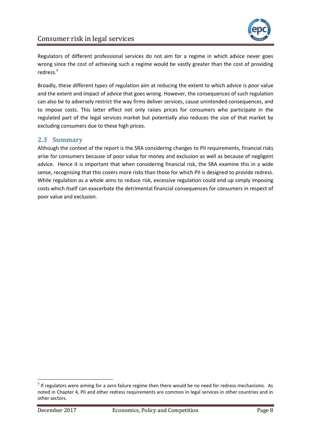

Regulators of different professional services do not aim for a regime in which advice never goes wrong since the cost of achieving such a regime would be vastly greater than the cost of providing redress.<sup>5</sup>

Broadly, these different types of regulation aim at reducing the extent to which advice is poor value and the extent and impact of advice that goes wrong. However, the consequences of such regulation can also be to adversely restrict the way firms deliver services, cause unintended consequences, and to impose costs. This latter effect not only raises prices for consumers who participate in the regulated part of the legal services market but potentially also reduces the size of that market by excluding consumers due to these high prices.

## <span id="page-8-0"></span>**2.3 Summary**

Although the context of the report is the SRA considering changes to PII requirements, financial risks arise for consumers because of poor value for money and exclusion as well as because of negligent advice. Hence it is important that when considering financial risk, the SRA examine this in a wide sense, recognising that this covers more risks than those for which PII is designed to provide redress. While regulation as a whole aims to reduce risk, excessive regulation could end up simply imposing costs which itself can exacerbate the detrimental financial consequences for consumers in respect of poor value and exclusion.

<sup>&</sup>lt;sup>5</sup> If regulators were aiming for a zero failure regime then there would be no need for redress mechanisms. As noted in Chapter [4,](#page-14-0) PII and other redress requirements are common in legal services in other countries and in other sectors.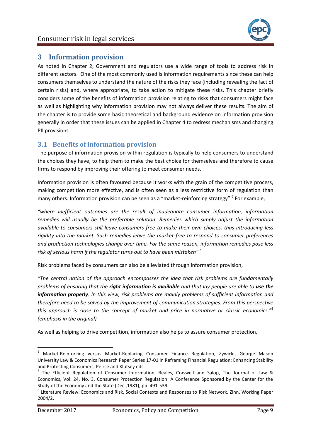

# <span id="page-9-0"></span>**3 Information provision**

As noted in Chapter [2,](#page-6-0) Government and regulators use a wide range of tools to address risk in different sectors. One of the most commonly used is information requirements since these can help consumers themselves to understand the nature of the risks they face (including revealing the fact of certain risks) and, where appropriate, to take action to mitigate these risks. This chapter briefly considers some of the benefits of information provision relating to risks that consumers might face as well as highlighting why information provision may not always deliver these results. The aim of the chapter is to provide some basic theoretical and background evidence on information provision generally in order that these issues can be applied in Chapter [4](#page-14-0) to redress mechanisms and changing PII provisions

## <span id="page-9-1"></span>**3.1 Benefits of information provision**

The purpose of information provision within regulation is typically to help consumers to understand the choices they have, to help them to make the best choice for themselves and therefore to cause firms to respond by improving their offering to meet consumer needs.

Information provision is often favoured because it works with the grain of the competitive process, making competition more effective, and is often seen as a less restrictive form of regulation than many others. Information provision can be seen as a "market-reinforcing strategy".<sup>6</sup> For example,

*"where inefficient outcomes are the result of inadequate consumer information, information remedies will usually be the preferable solution. Remedies which simply adjust the information available to consumers still leave consumers free to make their own choices, thus introducing less rigidity into the market. Such remedies leave the market free to respond to consumer preferences and production technologies change over time. For the same reason, information remedies pose less risk of serious harm if the regulator turns out to have been mistaken" <sup>7</sup>*

Risk problems faced by consumers can also be alleviated through information provision,

*"The central notion of the approach encompasses the idea that risk problems are fundamentally problems of ensuring that the right information is available and that lay people are able to use the information properly. In this view, risk problems are mainly problems of sufficient information and therefore need to be solved by the improvement of communication strategies. From this perspective this approach is close to the concept of market and price in normative or classic economics."<sup>8</sup> (emphasis in the original)*

As well as helping to drive competition, information also helps to assure consumer protection,

<sup>&</sup>lt;sup>6</sup> Market-Reinforcing versus Market-Replacing Consumer Finance Regulation, Zywicki, George Mason University Law & Economics Research Paper Series 17-01 in Reframing Financial Regulation: Enhancing Stability and Protecting Consumers, Peirce and Klutsey eds.

 $^7$  The Efficient Regulation of Consumer Information, Beales, Craswell and Salop, The Journal of Law & Economics, Vol. 24, No. 3, Consumer Protection Regulation: A Conference Sponsored by the Center for the Study of the Economy and the State (Dec.,1981), pp. 491-539.

<sup>&</sup>lt;sup>8</sup> Literature Review: Economics and Risk, Social Contexts and Responses to Risk Network, Zinn, Working Paper 2004/2.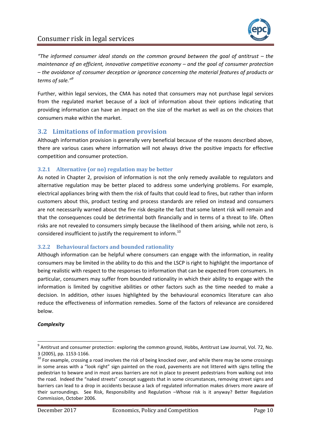

*"The informed consumer ideal stands on the common ground between the goal of antitrust – the maintenance of an efficient, innovative competitive economy – and the goal of consumer protection – the avoidance of consumer deception or ignorance concerning the material features of products or terms of sale."<sup>9</sup>*

Further, within legal services, the CMA has noted that consumers may not purchase legal services from the regulated market because of a *lack* of information about their options indicating that providing information can have an impact on the size of the market as well as on the choices that consumers make within the market.

## <span id="page-10-0"></span>**3.2 Limitations of information provision**

Although information provision is generally very beneficial because of the reasons described above, there are various cases where information will not always drive the positive impacts for effective competition and consumer protection.

## **3.2.1 Alternative (or no) regulation may be better**

As noted in Chapter [2,](#page-6-0) provision of information is not the only remedy available to regulators and alternative regulation may be better placed to address some underlying problems. For example, electrical appliances bring with them the risk of faults that could lead to fires, but rather than inform customers about this, product testing and process standards are relied on instead and consumers are not necessarily warned about the fire risk despite the fact that some latent risk will remain and that the consequences could be detrimental both financially and in terms of a threat to life. Often risks are not revealed to consumers simply because the likelihood of them arising, while not zero, is considered insufficient to justify the requirement to inform.<sup>10</sup>

## **3.2.2 Behavioural factors and bounded rationality**

Although information can be helpful where consumers can engage with the information, in reality consumers may be limited in the ability to do this and the LSCP is right to highlight the importance of being realistic with respect to the responses to information that can be expected from consumers. In particular, consumers may suffer from bounded rationality in which their ability to engage with the information is limited by cognitive abilities or other factors such as the time needed to make a decision. In addition, other issues highlighted by the behavioural economics literature can also reduce the effectiveness of information remedies. Some of the factors of relevance are considered below.

#### *Complexity*

 9 Antitrust and consumer protection: exploring the common ground, Hobbs, Antitrust Law Journal, Vol. 72, No. 3 (2005), pp. 1153-1166.

<sup>&</sup>lt;sup>10</sup> For example, crossing a road involves the risk of being knocked over, and while there may be some crossings in some areas with a "look right" sign painted on the road, pavements are not littered with signs telling the pedestrian to beware and in most areas barriers are not in place to prevent pedestrians from walking out into the road. Indeed the "naked streets" concept suggests that in some circumstances, removing street signs and barriers can lead to a drop in accidents because a lack of regulated information makes drivers more aware of their surroundings. See Risk, Responsibility and Regulation –Whose risk is it anyway? Better Regulation Commission, October 2006.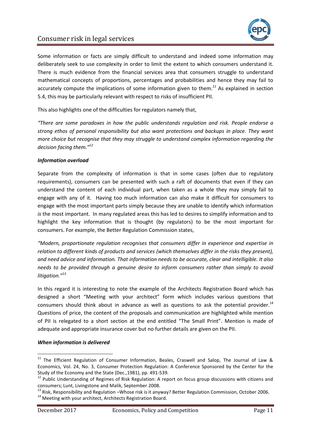

Some information or facts are simply difficult to understand and indeed some information may deliberately seek to use complexity in order to limit the extent to which consumers understand it. There is much evidence from the financial services area that consumers struggle to understand mathematical concepts of proportions, percentages and probabilities and hence they may fail to accurately compute the implications of some information given to them.*<sup>11</sup>* As explained in section [5.4,](#page-25-0) this may be particularly relevant with respect to risks of insufficient PII.

This also highlights one of the difficulties for regulators namely that,

*"There are some paradoxes in how the public understands regulation and risk. People endorse a strong ethos of personal responsibility but also want protections and backups in place. They want more choice but recognise that they may struggle to understand complex information regarding the decision facing them."<sup>12</sup>*

#### *Information overload*

Separate from the complexity of information is that in some cases (often due to regulatory requirements), consumers can be presented with such a raft of documents that even if they can understand the content of each individual part, when taken as a whole they may simply fail to engage with any of it. Having too much information can also make it difficult for consumers to engage with the most important parts simply because they are unable to identify which information *is* the most important. In many regulated areas this has led to desires to simplify information and to highlight the key information that is thought (by regulators) to be the most important for consumers. For example, the Better Regulation Commission states,

*"Modern, proportionate regulation recognises that consumers differ in experience and expertise in relation to different kinds of products and services (which themselves differ in the risks they present), and need advice and information. That information needs to be accurate, clear and intelligible. It also needs to be provided through a genuine desire to inform consumers rather than simply to avoid litigation."<sup>13</sup>*

In this regard it is interesting to note the example of the Architects Registration Board which has designed a short "Meeting with your architect" form which includes various questions that consumers should think about in advance as well as questions to ask the potential provider.<sup>14</sup> Questions of price, the content of the proposals and communication are highlighted while mention of PII is relegated to a short section at the end entitled "The Small Print". Mention is made of adequate and appropriate insurance cover but no further details are given on the PII.

#### *When information is delivered*

 $\overline{a}$ 

 $11$  The Efficient Regulation of Consumer Information, Beales, Craswell and Salop, The Journal of Law & Economics, Vol. 24, No. 3, Consumer Protection Regulation: A Conference Sponsored by the Center for the Study of the Economy and the State (Dec.,1981), pp. 491-539.

<sup>&</sup>lt;sup>12</sup> Public Understanding of Regimes of Risk Regulation: A report on focus group discussions with citizens and consumers; Lunt, Livingstone and Malik, September 2008.

<sup>&</sup>lt;sup>13</sup> Risk, Responsibility and Regulation –Whose risk is it anyway? Better Regulation Commission, October 2006.

<sup>&</sup>lt;sup>14</sup> Meeting with your architect, Architects Registration Board.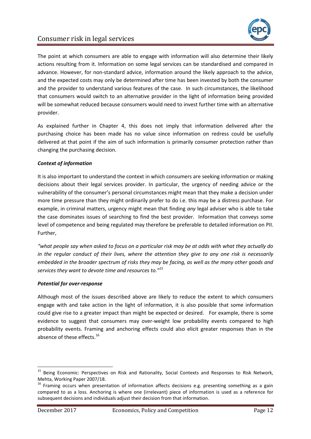



The point at which consumers are able to engage with information will also determine their likely actions resulting from it. Information on some legal services can be standardised and compared in advance. However, for non-standard advice, information around the likely approach to the advice, and the expected costs may only be determined after time has been invested by both the consumer and the provider to understand various features of the case. In such circumstances, the likelihood that consumers would switch to an alternative provider in the light of information being provided will be somewhat reduced because consumers would need to invest further time with an alternative provider.

As explained further in Chapter [4,](#page-14-0) this does not imply that information delivered after the purchasing choice has been made has no value since information on redress could be usefully delivered at that point if the aim of such information is primarily consumer protection rather than changing the purchasing decision.

### *Context of information*

It is also important to understand the context in which consumers are seeking information or making decisions about their legal services provider. In particular, the urgency of needing advice or the vulnerability of the consumer's personal circumstances might mean that they make a decision under more time pressure than they might ordinarily prefer to do i.e. this may be a distress purchase. For example, in criminal matters, urgency might mean that finding *any* legal adviser who is able to take the case dominates issues of searching to find the best provider. Information that conveys some level of competence and being regulated may therefore be preferable to detailed information on PII. Further,

*"what people say when asked to focus on a particular risk may be at odds with what they actually do in the regular conduct of their lives, where the attention they give to any one risk is necessarily embedded in the broader spectrum of risks they may be facing, as well as the many other goods and services they want to devote time and resources to."<sup>15</sup>*

#### *Potential for over-response*

Although most of the issues described above are likely to reduce the extent to which consumers engage with and take action in the light of information, it is also possible that some information could give rise to a greater impact than might be expected or desired. For example, there is some evidence to suggest that consumers may over-weight low probability events compared to high probability events. Framing and anchoring effects could also elicit greater responses than in the absence of these effects.<sup>16</sup>

 $\overline{a}$ 

<sup>&</sup>lt;sup>15</sup> Being Economic: Perspectives on Risk and Rationality, Social Contexts and Responses to Risk Network, Mehta, Working Paper 2007/18.

<sup>&</sup>lt;sup>16</sup> Framing occurs when presentation of information affects decisions e.g. presenting something as a gain compared to as a loss. Anchoring is where one (irrelevant) piece of information is used as a reference for subsequent decisions and individuals adjust their decision from that information.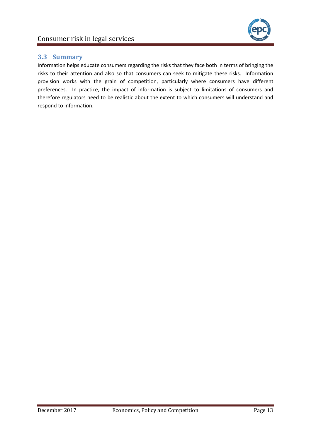# <span id="page-13-0"></span>**3.3 Summary**

Information helps educate consumers regarding the risks that they face both in terms of bringing the risks to their attention and also so that consumers can seek to mitigate these risks. Information provision works with the grain of competition, particularly where consumers have different preferences. In practice, the impact of information is subject to limitations of consumers and therefore regulators need to be realistic about the extent to which consumers will understand and respond to information.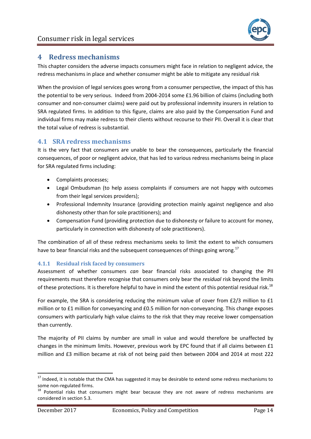

# <span id="page-14-0"></span>**4 Redress mechanisms**

This chapter considers the adverse impacts consumers might face in relation to negligent advice, the redress mechanisms in place and whether consumer might be able to mitigate any residual risk

When the provision of legal services goes wrong from a consumer perspective, the impact of this has the potential to be very serious. Indeed from 2004-2014 some £1.96 billion of claims (including both consumer and non-consumer claims) were paid out by professional indemnity insurers in relation to SRA regulated firms. In addition to this figure, claims are also paid by the Compensation Fund and individual firms may make redress to their clients without recourse to their PII. Overall it is clear that the total value of redress is substantial.

## <span id="page-14-1"></span>**4.1 SRA redress mechanisms**

It is the very fact that consumers are unable to bear the consequences, particularly the financial consequences, of poor or negligent advice, that has led to various redress mechanisms being in place for SRA regulated firms including:

- Complaints processes;
- Legal Ombudsman (to help assess complaints if consumers are not happy with outcomes from their legal services providers);
- Professional Indemnity Insurance (providing protection mainly against negligence and also dishonesty other than for sole practitioners); and
- Compensation Fund (providing protection due to dishonesty or failure to account for money, particularly in connection with dishonesty of sole practitioners).

The combination of all of these redress mechanisms seeks to limit the extent to which consumers have to bear financial risks and the subsequent consequences of things going wrong.<sup>17</sup>

## **4.1.1 Residual risk faced by consumers**

Assessment of whether consumers *can* bear financial risks associated to changing the PII requirements must therefore recognise that consumers only bear the *residual* risk beyond the limits of these protections. It is therefore helpful to have in mind the extent of this potential residual risk.<sup>18</sup>

For example, the SRA is considering reducing the minimum value of cover from £2/3 million to £1 million or to £1 million for conveyancing and £0.5 million for non-conveyancing. This change exposes consumers with particularly high value claims to the risk that they may receive lower compensation than currently.

The majority of PII claims by number are small in value and would therefore be unaffected by changes in the minimum limits. However, previous work by EPC found that if all claims between £1 million and £3 million became at risk of not being paid then between 2004 and 2014 at most 222

<sup>&</sup>lt;sup>17</sup> Indeed, it is notable that the CMA has suggested it may be desirable to extend some redress mechanisms to some non-regulated firms.

<sup>&</sup>lt;sup>18</sup> Potential risks that consumers might bear because they are not aware of redress mechanisms are considered in sectio[n 5.3.](#page-23-0)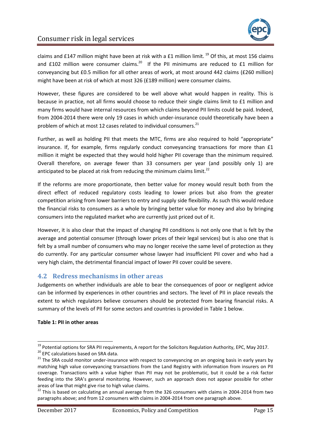

claims and £147 million might have been at risk with a £1 million limit.<sup>19</sup> Of this, at most 156 claims and £102 million were consumer claims.<sup>20</sup> If the PII minimums are reduced to £1 million for conveyancing but £0.5 million for all other areas of work, at most around 442 claims (£260 million) might have been at risk of which at most 326 (£189 million) were consumer claims.

However, these figures are considered to be well above what would happen in reality. This is because in practice, not all firms would choose to reduce their single claims limit to £1 million and many firms would have internal resources from which claims beyond PII limits could be paid. Indeed, from 2004-2014 there were only 19 cases in which under-insurance could theoretically have been a problem of which at most 12 cases related to individual consumers.<sup>21</sup>

Further, as well as holding PII that meets the MTC, firms are also required to hold "appropriate" insurance. If, for example, firms regularly conduct conveyancing transactions for more than £1 million it might be expected that they would hold higher PII coverage than the minimum required. Overall therefore, on average fewer than 33 consumers per year (and possibly only 1) are anticipated to be placed at risk from reducing the minimum claims limit.<sup>22</sup>

If the reforms are more proportionate, then better value for money would result both from the direct effect of reduced regulatory costs leading to lower prices but also from the greater competition arising from lower barriers to entry and supply side flexibility. As such this would reduce the financial risks to consumers as a whole by bringing better value for money and also by bringing consumers into the regulated market who are currently just priced out of it.

However, it is also clear that the impact of changing PII conditions is not only one that is felt by the average and potential consumer (through lower prices of their legal services) but is also one that is felt by a small number of consumers who may no longer receive the same level of protection as they do currently. For any particular consumer whose lawyer had insufficient PII cover and who had a very high claim, the detrimental financial impact of lower PII cover could be severe.

## <span id="page-15-0"></span>**4.2 Redress mechanisms in other areas**

Judgements on whether individuals are able to bear the consequences of poor or negligent advice can be informed by experiences in other countries and sectors. The level of PII in place reveals the extent to which regulators believe consumers should be protected from bearing financial risks. A summary of the levels of PII for some sectors and countries is provided i[n Table 1](#page-15-1) below.

#### <span id="page-15-1"></span>**Table 1: PII in other areas**

1

<sup>&</sup>lt;sup>19</sup> Potential options for SRA PII requirements, A report for the Solicitors Regulation Authority, EPC, May 2017.

<sup>&</sup>lt;sup>20</sup> EPC calculations based on SRA data.

<sup>&</sup>lt;sup>21</sup> The SRA could monitor under-insurance with respect to conveyancing on an ongoing basis in early years by matching high value conveyancing transactions from the Land Registry with information from insurers on PII coverage. Transactions with a value higher than PII may not be problematic, but it could be a risk factor feeding into the SRA's general monitoring. However, such an approach does not appear possible for other areas of law that might give rise to high value claims.

<sup>&</sup>lt;sup>22</sup> This is based on calculating an annual average from the 326 consumers with claims in 2004-2014 from two paragraphs above; and from 12 consumers with claims in 2004-2014 from one paragraph above.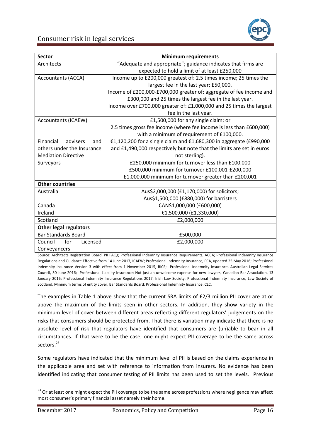

| <b>Sector</b>                 | <b>Minimum requirements</b>                                           |  |  |  |  |
|-------------------------------|-----------------------------------------------------------------------|--|--|--|--|
| Architects                    | "Adequate and appropriate"; guidance indicates that firms are         |  |  |  |  |
|                               | expected to hold a limit of at least £250,000                         |  |  |  |  |
| <b>Accountants (ACCA)</b>     | Income up to £200,000 greatest of: 2.5 times income; 25 times the     |  |  |  |  |
|                               | largest fee in the last year; £50,000.                                |  |  |  |  |
|                               | Income of £200,000-£700,000 greater of: aggregate of fee income and   |  |  |  |  |
|                               | £300,000 and 25 times the largest fee in the last year.               |  |  |  |  |
|                               | Income over £700,000 greater of: £1,000,000 and 25 times the largest  |  |  |  |  |
|                               | fee in the last year.                                                 |  |  |  |  |
| <b>Accountants (ICAEW)</b>    | £1,500,000 for any single claim; or                                   |  |  |  |  |
|                               | 2.5 times gross fee income (where fee income is less than £600,000)   |  |  |  |  |
|                               | with a minimum of requirement of £100,000.                            |  |  |  |  |
| Financial<br>advisers<br>and  | €1,120,200 for a single claim and €1,680,300 in aggregate (£990,000   |  |  |  |  |
| others under the Insurance    | and £1,490,000 respectively but note that the limits are set in euros |  |  |  |  |
| <b>Mediation Directive</b>    | not sterling).                                                        |  |  |  |  |
| Surveyors                     | £250,000 minimum for turnover less than £100,000                      |  |  |  |  |
|                               | £500,000 minimum for turnover £100,001-£200,000                       |  |  |  |  |
|                               | £1,000,000 minimum for turnover greater than £200,001                 |  |  |  |  |
| <b>Other countries</b>        |                                                                       |  |  |  |  |
| Australia                     | Aus\$2,000,000 (£1,170,000) for solicitors;                           |  |  |  |  |
|                               | Aus\$1,500,000 (£880,000) for barristers                              |  |  |  |  |
| Canada                        | CAN\$1,000,000 (£600,000)                                             |  |  |  |  |
| Ireland                       | €1,500,000 (£1,330,000)                                               |  |  |  |  |
| Scotland                      | £2,000,000                                                            |  |  |  |  |
| <b>Other legal regulators</b> |                                                                       |  |  |  |  |
| <b>Bar Standards Board</b>    | £500,000                                                              |  |  |  |  |
| Licensed<br>for<br>Council    | £2,000,000                                                            |  |  |  |  |
| Conveyancers                  |                                                                       |  |  |  |  |

Source: Architects Registration Board, PII FAQs; Professional Indemnity Insurance Requirements, ACCA; Professional Indemnity Insurance Regulations and Guidance Effective from 14 June 2017, ICAEW; Professional Indemnity Insurance, FCA, updated 25 May 2016; Professional Indemnity Insurance Version 3 with effect from 1 November 2015, RICS; Professional Indemnity Insurance, Australian Legal Services Council, 30 June 2016; Professional Liability Insurance: Not just an unwelcome expense for new lawyers, Canadian Bar Association, 13 January 2016; Professional Indemnity Insurance Regulations 2017, Irish Law Society; Professional Indemnity Insurance, Law Society of Scotland. Minimum terms of entity cover, Bar Standards Board; Professional Indemnity Insurance, CLC.

The examples in [Table 1](#page-15-1) above show that the current SRA limits of £2/3 million PII cover are at or above the maximum of the limits seen in other sectors. In addition, they show variety in the minimum level of cover between different areas reflecting different regulators' judgements on the risks that consumers should be protected from. That there is variation may indicate that there is no absolute level of risk that regulators have identified that consumers are (un)able to bear in all circumstances. If that were to be the case, one might expect PII coverage to be the same across sectors.<sup>23</sup>

Some regulators have indicated that the minimum level of PII is based on the claims experience in the applicable area and set with reference to information from insurers. No evidence has been identified indicating that consumer testing of PII limits has been used to set the levels. Previous

<sup>&</sup>lt;sup>23</sup> Or at least one might expect the PII coverage to be the same across professions where negligence may affect most consumer's primary financial asset namely their home.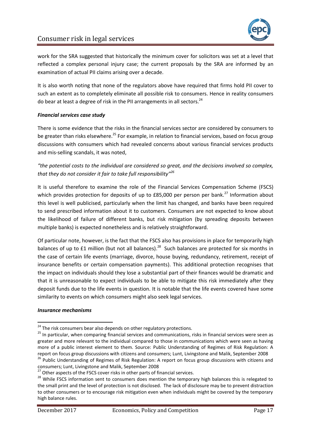

work for the SRA suggested that historically the minimum cover for solicitors was set at a level that reflected a complex personal injury case; the current proposals by the SRA are informed by an examination of actual PII claims arising over a decade.

It is also worth noting that none of the regulators above have required that firms hold PII cover to such an extent as to completely eliminate all possible risk to consumers. Hence in reality consumers do bear at least a degree of risk in the PII arrangements in all sectors.<sup>24</sup>

### *Financial services case study*

There is some evidence that the risks in the financial services sector are considered by consumers to be greater than risks elsewhere.<sup>25</sup> For example, in relation to financial services, based on focus group discussions with consumers which had revealed concerns about various financial services products and mis-selling scandals, it was noted,

*"the potential costs to the individual are considered so great, and the decisions involved so complex, that they do not consider it fair to take full responsibility"<sup>26</sup>*

It is useful therefore to examine the role of the Financial Services Compensation Scheme (FSCS) which provides protection for deposits of up to £85,000 per person per bank.<sup>27</sup> Information about this level is well publicised, particularly when the limit has changed, and banks have been required to send prescribed information about it to customers. Consumers are not expected to know about the likelihood of failure of different banks, but risk mitigation (by spreading deposits between multiple banks) is expected nonetheless and is relatively straightforward.

Of particular note, however, is the fact that the FSCS also has provisions in place for temporarily high balances of up to £1 million (but not all balances).<sup>28</sup> Such balances are protected for six months in the case of certain life events (marriage, divorce, house buying, redundancy, retirement, receipt of insurance benefits or certain compensation payments). This additional protection recognises that the impact on individuals should they lose a substantial part of their finances would be dramatic and that it is unreasonable to expect individuals to be able to mitigate this risk immediately after they deposit funds due to the life events in question. It is notable that the life events covered have some similarity to events on which consumers might also seek legal services.

#### *Insurance mechanisms*

 $\overline{a}$ 

<sup>&</sup>lt;sup>24</sup> The risk consumers bear also depends on other regulatory protections.

<sup>&</sup>lt;sup>25</sup> In particular, when comparing financial services and communications, risks in financial services were seen as greater and more relevant to the individual compared to those in communications which were seen as having more of a public interest element to them. Source: Public Understanding of Regimes of Risk Regulation: A report on focus group discussions with citizens and consumers; Lunt, Livingstone and Malik, September 2008

<sup>&</sup>lt;sup>26</sup> Public Understanding of Regimes of Risk Regulation: A report on focus group discussions with citizens and consumers; Lunt, Livingstone and Malik, September 2008

 $27$  Other aspects of the FSCS cover risks in other parts of financial services.

<sup>&</sup>lt;sup>28</sup> While FSCS information sent to consumers does mention the temporary high balances this is relegated to the small print and the level of protection is not disclosed. The lack of disclosure may be to prevent distraction to other consumers or to encourage risk mitigation even when individuals might be covered by the temporary high balance rules.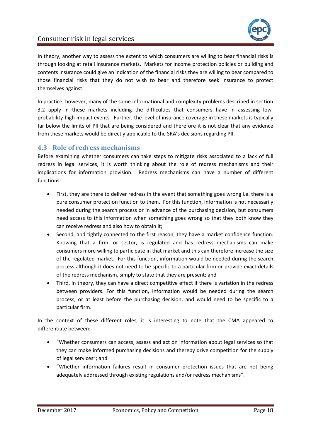

In theory, another way to assess the extent to which consumers are willing to bear financial risks is through looking at retail insurance markets. Markets for income protection policies or building and contents insurance could give an indication of the financial risks they are willing to bear compared to those financial risks that they do not wish to bear and therefore seek insurance to protect themselves against.

In practice, however, many of the same informational and complexity problems described in section [3.2](#page-10-0) apply in these markets including the difficulties that consumers have in assessing lowprobability-high-impact events. Further, the level of insurance coverage in these markets is typically far below the limits of PII that are being considered and therefore it is not clear that any evidence from these markets would be directly applicable to the SRA's decisions regarding PII.

## <span id="page-18-0"></span>**4.3 Role of redress mechanisms**

Before examining whether consumers can take steps to mitigate risks associated to a lack of full redress in legal services, it is worth thinking about the role of redress mechanisms and their implications for information provision. Redress mechanisms can have a number of different functions:

- First, they are there to deliver redress in the event that something goes wrong i.e. there is a pure consumer protection function to them. For this function, information is not necessarily needed during the search process or in advance of the purchasing decision, but consumers need access to this information when something goes wrong so that they both know they can receive redress and also how to obtain it;
- Second, and tightly connected to the first reason, they have a market confidence function. Knowing that a firm, or sector, is regulated and has redress mechanisms can make consumers more willing to participate in that market and this can therefore increase the size of the regulated market. For this function, information would be needed during the search process although it does not need to be specific to a particular firm or provide exact details of the redress mechanism, simply to state that they are present; and
- Third, in theory, they can have a direct competitive effect if there is variation in the redress between providers. For this function, information would be needed during the search process, or at least before the purchasing decision, and would need to be specific to a particular firm.

In the context of these different roles, it is interesting to note that the CMA appeared to differentiate between:

- "Whether consumers can access, assess and act on information about legal services so that they can make informed purchasing decisions and thereby drive competition for the supply of legal services"; and
- "Whether information failures result in consumer protection issues that are not being adequately addressed through existing regulations and/or redress mechanisms".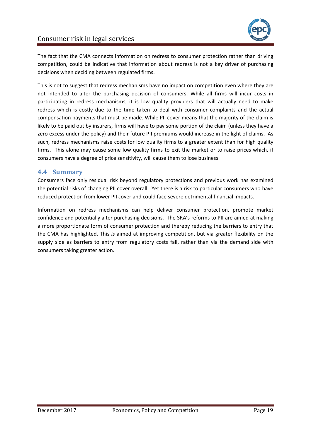

The fact that the CMA connects information on redress to consumer protection rather than driving competition, could be indicative that information about redress is not a key driver of purchasing decisions when deciding between regulated firms.

This is not to suggest that redress mechanisms have no impact on competition even where they are not intended to alter the purchasing decision of consumers. While all firms will incur costs in participating in redress mechanisms, it is low quality providers that will actually need to make redress which is costly due to the time taken to deal with consumer complaints and the actual compensation payments that must be made. While PII cover means that the majority of the claim is likely to be paid out by insurers, firms will have to pay some portion of the claim (unless they have a zero excess under the policy) and their future PII premiums would increase in the light of claims. As such, redress mechanisms raise costs for low quality firms to a greater extent than for high quality firms. This alone may cause some low quality firms to exit the market or to raise prices which, if consumers have a degree of price sensitivity, will cause them to lose business.

## <span id="page-19-0"></span>**4.4 Summary**

Consumers face only residual risk beyond regulatory protections and previous work has examined the potential risks of changing PII cover overall. Yet there is a risk to particular consumers who have reduced protection from lower PII cover and could face severe detrimental financial impacts.

Information on redress mechanisms can help deliver consumer protection, promote market confidence and potentially alter purchasing decisions. The SRA's reforms to PII are aimed at making a more proportionate form of consumer protection and thereby reducing the barriers to entry that the CMA has highlighted. This *is* aimed at improving competition, but via greater flexibility on the supply side as barriers to entry from regulatory costs fall, rather than via the demand side with consumers taking greater action.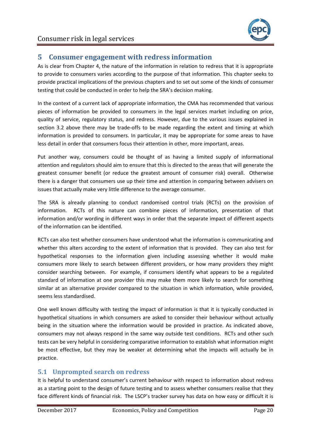

# <span id="page-20-0"></span>**5 Consumer engagement with redress information**

As is clear from Chapter [4,](#page-14-0) the nature of the information in relation to redress that it is appropriate to provide to consumers varies according to the purpose of that information. This chapter seeks to provide practical implications of the previous chapters and to set out some of the kinds of consumer testing that could be conducted in order to help the SRA's decision making.

In the context of a current lack of appropriate information, the CMA has recommended that various pieces of information be provided to consumers in the legal services market including on price, quality of service, regulatory status, and redress. However, due to the various issues explained in section [3.2](#page-10-0) above there may be trade-offs to be made regarding the extent and timing at which information is provided to consumers. In particular, it may be appropriate for some areas to have less detail in order that consumers focus their attention in other, more important, areas.

Put another way, consumers could be thought of as having a limited supply of informational attention and regulators should aim to ensure that this is directed to the areas that will generate the greatest consumer benefit (or reduce the greatest amount of consumer risk) overall. Otherwise there is a danger that consumers use up their time and attention in comparing between advisers on issues that actually make very little difference to the average consumer.

The SRA is already planning to conduct randomised control trials (RCTs) on the provision of information. RCTs of this nature can combine pieces of information, presentation of that information and/or wording in different ways in order that the separate impact of different aspects of the information can be identified.

RCTs can also test whether consumers have understood what the information is communicating and whether this alters according to the extent of information that is provided. They can also test for hypothetical responses to the information given including assessing whether it would make consumers more likely to search between different providers, or how many providers they might consider searching between. For example, if consumers identify what appears to be a regulated standard of information at one provider this may make them more likely to search for something similar at an alternative provider compared to the situation in which information, while provided, seems less standardised.

One well known difficulty with testing the impact of information is that it is typically conducted in hypothetical situations in which consumers are asked to consider their behaviour without actually being in the situation where the information would be provided in practice. As indicated above, consumers may not always respond in the same way outside test conditions. RCTs and other such tests can be very helpful in considering comparative information to establish what information might be most effective, but they may be weaker at determining what the impacts will actually be in practice.

# <span id="page-20-1"></span>**5.1 Unprompted search on redress**

It is helpful to understand consumer's current behaviour with respect to information about redress as a starting point to the design of future testing and to assess whether consumers realise that they face different kinds of financial risk. The LSCP's tracker survey has data on how easy or difficult it is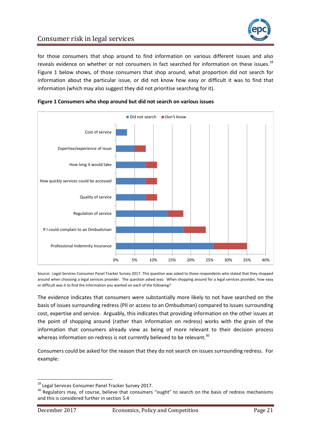

for those consumers that shop around to find information on various different issues and also reveals evidence on whether or not consumers in fact searched for information on these issues.<sup>29</sup> [Figure 1](#page-21-0) below shows, of those consumers that shop around, what proportion did not search for information about the particular issue, or did not know how easy or difficult it was to find that information (which may also suggest they did not prioritise searching for it).



<span id="page-21-0"></span>

Source: Legal Services Consumer Panel Tracker Survey 2017. This question was asked to those respondents who stated that they shopped around when choosing a legal services provider. The question asked was: When shopping around for a legal services provider, how easy or difficult was it to find the information you wanted on each of the following?

The evidence indicates that consumers were substantially more likely to not have searched on the basis of issues surrounding redress (PII or access to an Ombudsman) compared to issues surrounding cost, expertise and service. Arguably, this indicates that providing information on the other issues at the point of shopping around (rather than information on redress) works with the grain of the information that consumers already view as being of more relevant to their decision process whereas information on redress is not currently believed to be relevant.<sup>30</sup>

Consumers could be asked for the reason that they do not search on issues surrounding redress. For example:

<sup>&</sup>lt;sup>29</sup> Legal Services Consumer Panel Tracker Survey 2017.

<sup>&</sup>lt;sup>30</sup> Regulators may, of course, believe that consumers "ought" to search on the basis of redress mechanisms and this is considered further in sectio[n 5.4](#page-25-0)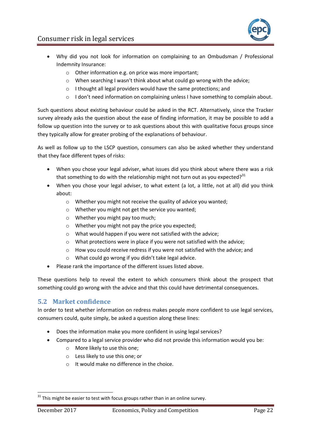



- Why did you not look for information on complaining to an Ombudsman / Professional Indemnity Insurance:
	- o Other information e.g. on price was more important;
	- o When searching I wasn't think about what could go wrong with the advice;
	- o I thought all legal providers would have the same protections; and
	- o I don't need information on complaining unless I have something to complain about.

Such questions about existing behaviour could be asked in the RCT. Alternatively, since the Tracker survey already asks the question about the ease of finding information, it may be possible to add a follow up question into the survey or to ask questions about this with qualitative focus groups since they typically allow for greater probing of the explanations of behaviour.

As well as follow up to the LSCP question, consumers can also be asked whether they understand that they face different types of risks:

- When you chose your legal adviser, what issues did you think about where there was a risk that something to do with the relationship might not turn out as you expected? $31$
- When you chose your legal adviser, to what extent (a lot, a little, not at all) did you think about:
	- o Whether you might not receive the quality of advice you wanted;
	- o Whether you might not get the service you wanted;
	- o Whether you might pay too much;
	- o Whether you might not pay the price you expected;
	- o What would happen if you were not satisfied with the advice;
	- o What protections were in place if you were not satisfied with the advice;
	- o How you could receive redress if you were not satisfied with the advice; and
	- o What could go wrong if you didn't take legal advice.
- Please rank the importance of the different issues listed above.

These questions help to reveal the extent to which consumers think about the prospect that something could go wrong with the advice and that this could have detrimental consequences.

## <span id="page-22-0"></span>**5.2 Market confidence**

In order to test whether information on redress makes people more confident to use legal services, consumers could, quite simply, be asked a question along these lines:

- Does the information make you more confident in using legal services?
- Compared to a legal service provider who did not provide this information would you be:
	- o More likely to use this one;
	- o Less likely to use this one; or
	- o It would make no difference in the choice.

 $31$  This might be easier to test with focus groups rather than in an online survey.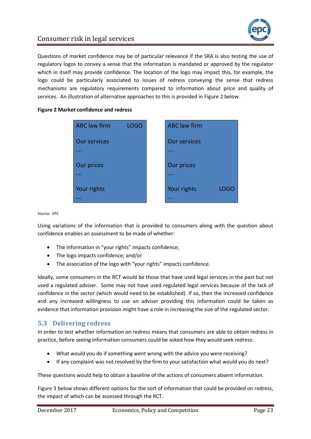

Questions of market confidence may be of particular relevance if the SRA is also testing the use of regulatory logos to convey a sense that the information is mandated or approved by the regulator which in itself may provide confidence. The location of the logo may impact this, for example, the logo could be particularly associated to issues of redress conveying the sense that redress mechanisms are regulatory requirements compared to information about price and quality of services. An illustration of alternative approaches to this is provided in [Figure 2](#page-23-1) below.

#### <span id="page-23-1"></span>**Figure 2 Market confidence and redress**

| <b>ABC</b> law firm | <b>LOGO</b> | <b>ABC</b> law firm |      |
|---------------------|-------------|---------------------|------|
| <b>Our services</b> |             | <b>Our services</b> |      |
|                     |             |                     |      |
| <b>Our prices</b>   |             | <b>Our prices</b>   |      |
|                     |             | .                   |      |
| Your rights         |             | Your rights         | LOGO |
|                     |             |                     |      |

Source: EPC

Using variations of the information that is provided to consumers along with the question about confidence enables an assessment to be made of whether:

- The information in "your rights" impacts confidence;
- The logo impacts confidence; and/or
- The association of the logo with "your rights" impacts confidence.

Ideally, some consumers in the RCT would be those that have used legal services in the past but not used a regulated adviser. Some may not have used regulated legal services because of the lack of confidence in the sector (which would need to be established). If so, then the increased confidence and any increased willingness to use an adviser providing this information could be taken as evidence that information provision might have a role in increasing the size of the regulated sector.

## <span id="page-23-0"></span>**5.3 Delivering redress**

In order to test whether information on redress means that consumers are able to *obtain* redress in practice, before seeing information consumers could be asked how they would seek redress:

- What would you do if something went wrong with the advice you were receiving?
- If any complaint was not resolved by the firm to your satisfaction what would you do next?

These questions would help to obtain a baseline of the actions of consumers absent information.

[Figure 3](#page-24-0) below shows different options for the sort of information that could be provided on redress, the impact of which can be assessed through the RCT.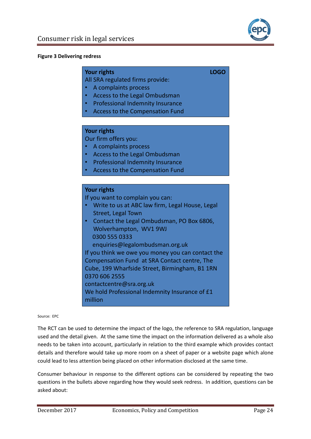

#### <span id="page-24-0"></span>**Figure 3 Delivering redress**

#### **Your rights LOGO**

All SRA regulated firms provide:

- A complaints process
- Access to the Legal Ombudsman
- Professional Indemnity Insurance
- Access to the Compensation Fund

#### **Your rights**

Our firm offers you:

- A complaints process
- Access to the Legal Ombudsman
- Professional Indemnity Insurance
- Access to the Compensation Fund

### **Your rights**

million

If you want to complain you can:

- Write to us at ABC law firm, Legal House, Legal Street, Legal Town
- Contact the Legal Ombudsman, PO Box 6806, Wolverhampton, WV1 9WJ 0300 555 0333

enquiries@legalombudsman.org.uk

If you think we owe you money you can contact the Compensation Fund at SRA Contact centre, The Cube, 199 Wharfside Street, Birmingham, B1 1RN 0370 606 2555 contactcentre@sra.org.uk We hold Professional Indemnity Insurance of £1

#### Source: EPC

The RCT can be used to determine the impact of the logo, the reference to SRA regulation, language used and the detail given. At the same time the impact on the information delivered as a whole also needs to be taken into account, particularly in relation to the third example which provides contact details and therefore would take up more room on a sheet of paper or a website page which alone could lead to less attention being placed on other information disclosed at the same time.

Consumer behaviour in response to the different options can be considered by repeating the two questions in the bullets above regarding how they would seek redress. In addition, questions can be asked about: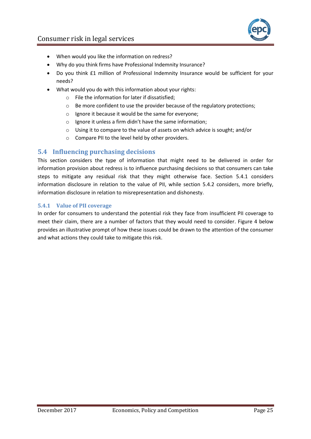



- When would you like the information on redress?
- Why do you think firms have Professional Indemnity Insurance?
- Do you think £1 million of Professional Indemnity Insurance would be sufficient for your needs?
- What would you do with this information about your rights:
	- o File the information for later if dissatisfied;
	- o Be more confident to use the provider because of the regulatory protections;
	- o Ignore it because it would be the same for everyone;
	- o Ignore it unless a firm didn't have the same information;
	- $\circ$  Using it to compare to the value of assets on which advice is sought; and/or
	- o Compare PII to the level held by other providers.

## <span id="page-25-0"></span>**5.4 Influencing purchasing decisions**

This section considers the type of information that might need to be delivered in order for information provision about redress is to influence purchasing decisions so that consumers can take steps to mitigate any residual risk that they might otherwise face. Section [5.4.1](#page-25-1) considers information disclosure in relation to the value of PII, while section [5.4.2](#page-30-0) considers, more briefly, information disclosure in relation to misrepresentation and dishonesty.

### <span id="page-25-1"></span>**5.4.1 Value of PII coverage**

In order for consumers to understand the potential risk they face from insufficient PII coverage to meet their claim, there are a number of factors that they would need to consider. [Figure 4](#page-26-0) below provides an illustrative prompt of how these issues could be drawn to the attention of the consumer and what actions they could take to mitigate this risk.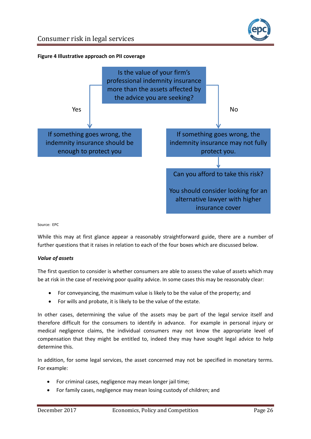

### <span id="page-26-0"></span>**Figure 4 Illustrative approach on PII coverage**



Source: EPC

While this may at first glance appear a reasonably straightforward guide, there are a number of further questions that it raises in relation to each of the four boxes which are discussed below.

#### *Value of assets*

The first question to consider is whether consumers are able to assess the value of assets which may be at risk in the case of receiving poor quality advice. In some cases this may be reasonably clear:

- For conveyancing, the maximum value is likely to be the value of the property; and
- For wills and probate, it is likely to be the value of the estate.

In other cases, determining the value of the assets may be part of the legal service itself and therefore difficult for the consumers to identify in advance. For example in personal injury or medical negligence claims, the individual consumers may not know the appropriate level of compensation that they might be entitled to, indeed they may have sought legal advice to help determine this.

In addition, for some legal services, the asset concerned may not be specified in monetary terms. For example:

- For criminal cases, negligence may mean longer jail time;
- For family cases, negligence may mean losing custody of children; and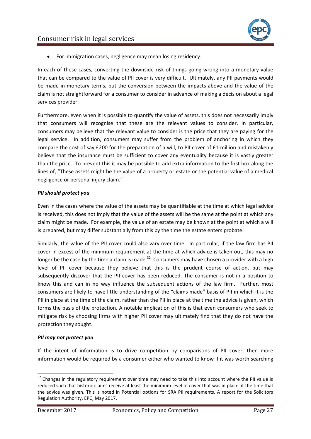For immigration cases, negligence may mean losing residency.

In each of these cases, converting the downside risk of things going wrong into a monetary value that can be compared to the value of PII cover is very difficult. Ultimately, any PII payments would be made in monetary terms, but the conversion between the impacts above and the value of the claim is not straightforward for a consumer to consider in advance of making a decision about a legal services provider.

Furthermore, even when it is possible to quantify the value of assets, this does not necessarily imply that consumers will recognise that these are the relevant values to consider. In particular, consumers may believe that the relevant value to consider is the price that they are paying for the legal service. In addition, consumers may suffer from the problem of anchoring in which they compare the cost of say £200 for the preparation of a will, to PII cover of £1 million and mistakenly believe that the insurance must be sufficient to cover any eventuality because it is vastly greater than the price. To prevent this it may be possible to add extra information to the first box along the lines of, "These assets might be the value of a property or estate or the potential value of a medical negligence or personal injury claim."

## *PII should protect you*

Even in the cases where the value of the assets may be quantifiable at the time at which legal advice is received, this does not imply that the value of the assets will be the same at the point at which any claim might be made. For example, the value of an estate may be known at the point at which a will is prepared, but may differ substantially from this by the time the estate enters probate.

Similarly, the value of the PII cover could also vary over time. In particular, if the law firm has PII cover in excess of the minimum requirement at the time at which advice is taken out, this may no longer be the case by the time a claim is made.<sup>32</sup> Consumers may have chosen a provider with a high level of PII cover because they believe that this is the prudent course of action, but may subsequently discover that the PII cover has been reduced. The consumer is not in a position to know this and can in no way influence the subsequent actions of the law firm. Further, most consumers are likely to have little understanding of the "claims made" basis of PII in which it is the PII in place at the time of the claim, rather than the PII in place at the time the advice is given, which forms the basis of the protection. A notable implication of this is that even consumers who seek to mitigate risk by choosing firms with higher PII cover may ultimately find that they do not have the protection they sought.

## *PII may not protect you*

If the intent of information is to drive competition by comparisons of PII cover, then more information would be required by a consumer either who wanted to know if it was worth searching

<sup>&</sup>lt;sup>32</sup> Changes in the regulatory requirement over time may need to take this into account where the PII value is reduced such that historic claims receive at least the minimum level of cover that was in place at the time that the advice was given. This is noted in Potential options for SRA PII requirements, A report for the Solicitors Regulation Authority, EPC, May 2017.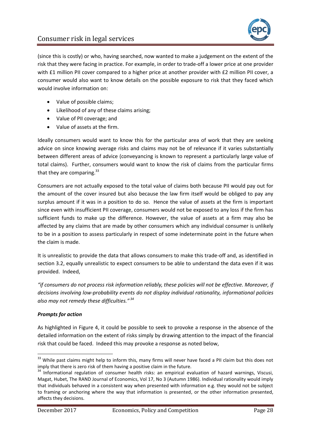

(since this is costly) or who, having searched, now wanted to make a judgement on the extent of the risk that they were facing in practice. For example, in order to trade-off a lower price at one provider with £1 million PII cover compared to a higher price at another provider with £2 million PII cover, a consumer would also want to know details on the possible exposure to risk that they faced which would involve information on:

- Value of possible claims;
- Likelihood of any of these claims arising;
- Value of PII coverage; and
- Value of assets at the firm.

Ideally consumers would want to know this for the particular area of work that they are seeking advice on since knowing average risks and claims may not be of relevance if it varies substantially between different areas of advice (conveyancing is known to represent a particularly large value of total claims). Further, consumers would want to know the risk of claims from the particular firms that they are comparing.<sup>33</sup>

Consumers are not actually exposed to the total value of claims both because PII would pay out for the amount of the cover insured but also because the law firm itself would be obliged to pay any surplus amount if it was in a position to do so. Hence the value of assets at the firm is important since even with insufficient PII coverage, consumers would not be exposed to any loss if the firm has sufficient funds to make up the difference. However, the value of assets at a firm may also be affected by any claims that are made by other consumers which any individual consumer is unlikely to be in a position to assess particularly in respect of some indeterminate point in the future when the claim is made.

It is unrealistic to provide the data that allows consumers to make this trade-off and, as identified in section [3.2,](#page-10-0) equally unrealistic to expect consumers to be able to understand the data even if it was provided. Indeed,

*"if consumers do not process risk information reliably, these policies will not be effective. Moreover, if decisions involving low-probability events do not display individual rationality, informational policies also may not remedy these difficulties." <sup>34</sup>*

#### *Prompts for action*

 $\overline{a}$ 

As highlighted in [Figure 4,](#page-26-0) it could be possible to seek to provoke a response in the absence of the detailed information on the extent of risks simply by drawing attention to the impact of the financial risk that could be faced. Indeed this may provoke a response as noted below,

 $33$  While past claims might help to inform this, many firms will never have faced a PII claim but this does not imply that there is zero risk of them having a positive claim in the future.

<sup>&</sup>lt;sup>34</sup> Informational regulation of consumer health risks: an empirical evaluation of hazard warnings, Viscusi, Magat, Hubet, The RAND Journal of Economics, Vol 17, No 3 (Autumn 1986). Individual rationality would imply that individuals behaved in a consistent way when presented with information e.g. they would not be subject to framing or anchoring where the way that information is presented, or the other information presented, affects they decisions.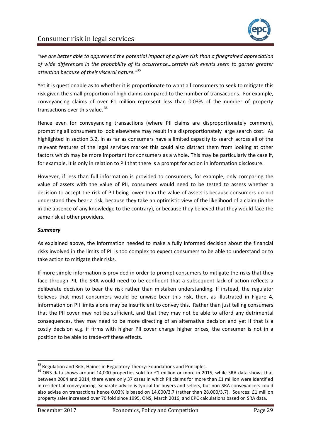*"we are better able to apprehend the potential impact of a given risk than a finegrained appreciation of wide differences in the probability of its occurrence…certain risk events seem to garner greater attention because of their visceral nature."<sup>35</sup>*

Yet it is questionable as to whether it is proportionate to want all consumers to seek to mitigate this risk given the small proportion of high claims compared to the number of transactions. For example, conveyancing claims of over £1 million represent less than 0.03% of the number of property transactions over this value.<sup>36</sup>

Hence even for conveyancing transactions (where PII claims are disproportionately common), prompting all consumers to look elsewhere may result in a disproportionately large search cost. As highlighted in section [3.2,](#page-10-0) in as far as consumers have a limited capacity to search across all of the relevant features of the legal services market this could also distract them from looking at other factors which may be more important for consumers as a whole. This may be particularly the case if, for example, it is only in relation to PII that there is a prompt for action in information disclosure.

However, if less than full information is provided to consumers, for example, only comparing the value of assets with the value of PII, consumers would need to be tested to assess whether a decision to accept the risk of PII being lower than the value of assets is because consumers do not understand they bear a risk, because they take an optimistic view of the likelihood of a claim (in the in the absence of any knowledge to the contrary), or because they believed that they would face the same risk at other providers.

#### *Summary*

As explained above, the information needed to make a fully informed decision about the financial risks involved in the limits of PII is too complex to expect consumers to be able to understand or to take action to mitigate their risks.

If more simple information is provided in order to prompt consumers to mitigate the risks that they face through PII, the SRA would need to be confident that a subsequent lack of action reflects a deliberate decision to bear the risk rather than mistaken understanding. If instead, the regulator believes that most consumers would be unwise bear this risk, then, as illustrated in [Figure 4,](#page-26-0) information on PII limits alone may be insufficient to convey this. Rather than just telling consumers that the PII cover may not be sufficient, and that they may not be able to afford any detrimental consequences, they may need to be more directing of an alternative decision and yet if that is a costly decision e.g. if firms with higher PII cover charge higher prices, the consumer is not in a position to be able to trade-off these effects.

 $35$  Regulation and Risk, Haines in Regulatory Theory: Foundations and Principles.

<sup>&</sup>lt;sup>36</sup> ONS data shows around 14,000 properties sold for £1 million or more in 2015, while SRA data shows that between 2004 and 2014, there were only 37 cases in which PII claims for more than £1 million were identified in residential conveyancing. Separate advice is typical for buyers and sellers, but non-SRA conveyancers could also advise on transactions hence 0.03% is based on 14,000/3.7 (rather than 28,000/3.7). Sources: £1 million property sales increased over 70 fold since 1995, ONS, March 2016; and EPC calculations based on SRA data.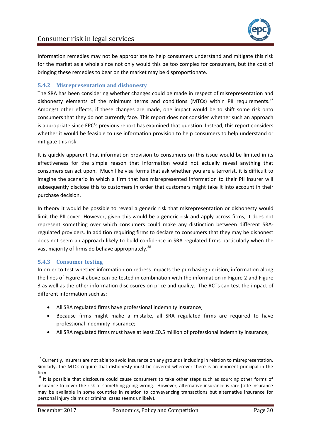

Information remedies may not be appropriate to help consumers understand and mitigate this risk for the market as a whole since not only would this be too complex for consumers, but the cost of bringing these remedies to bear on the market may be disproportionate.

### <span id="page-30-0"></span>**5.4.2 Misrepresentation and dishonesty**

The SRA has been considering whether changes could be made in respect of misrepresentation and dishonesty elements of the minimum terms and conditions (MTCs) within PII requirements.<sup>37</sup> Amongst other effects, if these changes are made, one impact would be to shift some risk onto consumers that they do not currently face. This report does not consider whether such an approach is appropriate since EPC's previous report has examined that question. Instead, this report considers whether it would be feasible to use information provision to help consumers to help understand or mitigate this risk.

It is quickly apparent that information provision to consumers on this issue would be limited in its effectiveness for the simple reason that information would not actually reveal anything that consumers can act upon. Much like visa forms that ask whether you are a terrorist, it is difficult to imagine the scenario in which a firm that has misrepresented information to their PII insurer will subsequently disclose this to customers in order that customers might take it into account in their purchase decision.

In theory it would be possible to reveal a generic risk that misrepresentation or dishonesty would limit the PII cover. However, given this would be a generic risk and apply across firms, it does not represent something over which consumers could make any distinction between different SRAregulated providers. In addition requiring firms to declare to consumers that they may be dishonest does not seem an approach likely to build confidence in SRA regulated firms particularly when the vast majority of firms do behave appropriately.<sup>38</sup>

#### **5.4.3 Consumer testing**

In order to test whether information on redress impacts the purchasing decision, information along the lines of [Figure 4](#page-26-0) above can be tested in combination with the information in [Figure 2](#page-23-1) and [Figure](#page-24-0)  [3](#page-24-0) as well as the other information disclosures on price and quality. The RCTs can test the impact of different information such as:

- All SRA regulated firms have professional indemnity insurance;
- Because firms might make a mistake, all SRA regulated firms are required to have professional indemnity insurance;
- All SRA regulated firms must have at least £0.5 million of professional indemnity insurance;

 $\overline{a}$ 

 $37$  Currently, insurers are not able to avoid insurance on any grounds including in relation to misrepresentation. Similarly, the MTCs require that dishonesty must be covered wherever there is an innocent principal in the firm.

<sup>&</sup>lt;sup>38</sup> It is possible that disclosure could cause consumers to take other steps such as sourcing other forms of insurance to cover the risk of something going wrong. However, alternative insurance is rare (title insurance may be available in some countries in relation to conveyancing transactions but alternative insurance for personal injury claims or criminal cases seems unlikely).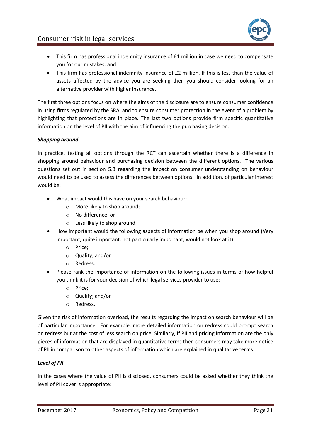

- This firm has professional indemnity insurance of £1 million in case we need to compensate you for our mistakes; and
- This firm has professional indemnity insurance of £2 million. If this is less than the value of assets affected by the advice you are seeking then you should consider looking for an alternative provider with higher insurance.

The first three options focus on where the aims of the disclosure are to ensure consumer confidence in using firms regulated by the SRA, and to ensure consumer protection in the event of a problem by highlighting that protections are in place. The last two options provide firm specific quantitative information on the level of PII with the aim of influencing the purchasing decision.

### *Shopping around*

In practice, testing all options through the RCT can ascertain whether there is a difference in shopping around behaviour and purchasing decision between the different options. The various questions set out in section [5.3](#page-23-0) regarding the impact on consumer understanding on behaviour would need to be used to assess the differences between options. In addition, of particular interest would be:

- What impact would this have on your search behaviour:
	- o More likely to shop around;
	- o No difference; or
	- o Less likely to shop around.
- How important would the following aspects of information be when you shop around (Very important, quite important, not particularly important, would not look at it):
	- o Price;
	- o Quality; and/or
	- o Redress.
- Please rank the importance of information on the following issues in terms of how helpful you think it is for your decision of which legal services provider to use:
	- o Price;
	- o Quality; and/or
	- o Redress.

Given the risk of information overload, the results regarding the impact on search behaviour will be of particular importance. For example, more detailed information on redress could prompt search on redress but at the cost of less search on price. Similarly, if PII and pricing information are the only pieces of information that are displayed in quantitative terms then consumers may take more notice of PII in comparison to other aspects of information which are explained in qualitative terms.

#### *Level of PII*

In the cases where the value of PII is disclosed, consumers could be asked whether they think the level of PII cover is appropriate: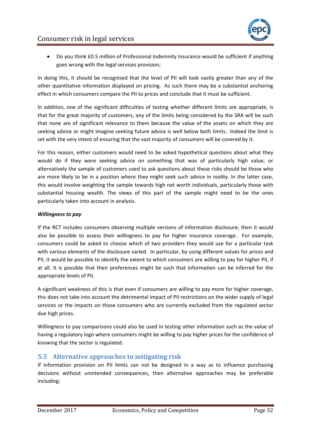

 Do you think £0.5 million of Professional Indemnity Insurance would be sufficient if anything goes wrong with the legal services provision;

In doing this, it should be recognised that the level of PII will look vastly greater than any of the other quantitative information displayed on pricing. As such there may be a substantial anchoring effect in which consumers compare the PII to prices and conclude that it must be sufficient.

In addition, one of the significant difficulties of testing whether different limits are appropriate, is that for the great majority of customers, any of the limits being considered by the SRA will be such that none are of significant relevance to them because the value of the assets on which they are seeking advice or might imagine seeking future advice is well below both limits. Indeed the limit is set with the very intent of ensuring that the vast majority of consumers will be covered by it.

For this reason, either customers would need to be asked hypothetical questions about what they would do if they were seeking advice on something that was of particularly high value, or alternatively the sample of customers used to ask questions about these risks should be those who are more likely to be in a position where they might seek such advice in reality. In the latter case, this would involve weighting the sample towards high net worth individuals, particularly those with substantial housing wealth. The views of this part of the sample might need to be the ones particularly taken into account in analysis.

#### *Willingness to pay*

If the RCT includes consumers observing multiple versions of information disclosure, then it would also be possible to assess their willingness to pay for higher insurance coverage. For example, consumers could be asked to choose which of two providers they would use for a particular task with various elements of the disclosure varied. In particular, by using different values for prices and PII, it would be possible to identify the extent to which consumers are willing to pay for higher PII, if at all. It is possible that their preferences might be such that information can be inferred for the appropriate levels of PII.

A significant weakness of this is that even if consumers are willing to pay more for higher coverage, this does not take into account the detrimental impact of PII restrictions on the wider supply of legal services or the impacts on those consumers who are currently excluded from the regulated sector due high prices.

Willingness to pay comparisons could also be used in testing other information such as the value of having a regulatory logo where consumers might be willing to pay higher prices for the confidence of knowing that the sector is regulated.

## <span id="page-32-0"></span>**5.5 Alternative approaches to mitigating risk**

If information provision on PII limits can not be designed in a way as to influence purchasing decisions without unintended consequences, then alternative approaches may be preferable including: